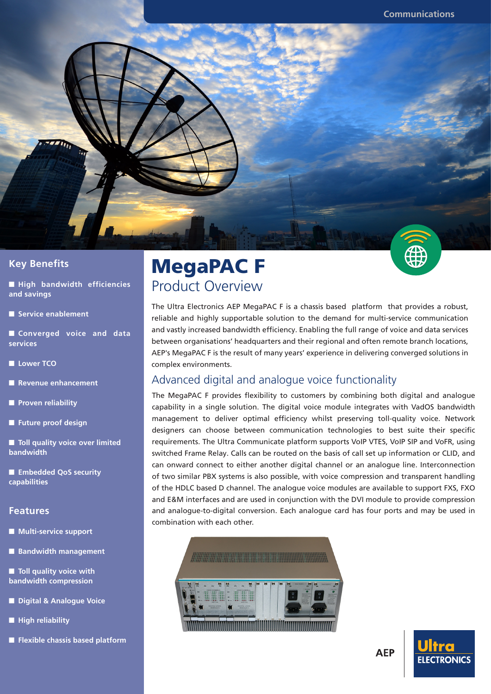

■ **High bandwidth efficiencies and savings**

■ **Service enablement** 

■ **Converged** voice and data **services**

■ **Lower TCO** 

**Revenue enhancement** 

■ **Proven reliability**

■ **Future proof design**

■ **Toll quality voice over limited bandwidth**

■ **Embedded QoS security capabilities**

#### **Features**

■ **Multi-service support** 

**Bandwidth management** 

■ **Toll quality voice with bandwidth compression**

- **Digital & Analogue Voice**
- **High reliability**
- **Flexible chassis based platform**

# MegaPAC F Product Overview

The Ultra Electronics AEP MegaPAC F is a chassis based platform that provides a robust, reliable and highly supportable solution to the demand for multi-service communication and vastly increased bandwidth efficiency. Enabling the full range of voice and data services between organisations' headquarters and their regional and often remote branch locations, AEP's MegaPAC F is the result of many years' experience in delivering converged solutions in complex environments.

#### Advanced digital and analogue voice functionality

The MegaPAC F provides flexibility to customers by combining both digital and analogue capability in a single solution. The digital voice module integrates with VadOS bandwidth management to deliver optimal efficiency whilst preserving toll-quality voice. Network designers can choose between communication technologies to best suite their specific requirements. The Ultra Communicate platform supports VoIP VTES, VoIP SIP and VoFR, using switched Frame Relay. Calls can be routed on the basis of call set up information or CLID, and can onward connect to either another digital channel or an analogue line. Interconnection of two similar PBX systems is also possible, with voice compression and transparent handling of the HDLC based D channel. The analogue voice modules are available to support FXS, FXO and E&M interfaces and are used in conjunction with the DVI module to provide compression and analogue-to-digital conversion. Each analogue card has four ports and may be used in combination with each other.



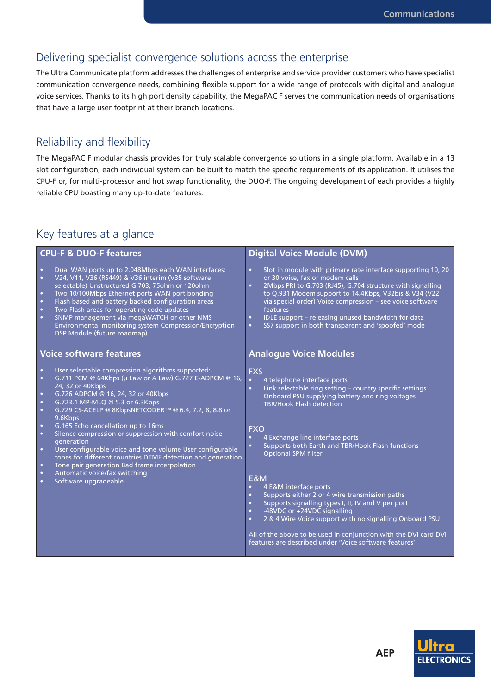#### Delivering specialist convergence solutions across the enterprise

The Ultra Communicate platform addresses the challenges of enterprise and service provider customers who have specialist communication convergence needs, combining flexible support for a wide range of protocols with digital and analogue voice services. Thanks to its high port density capability, the MegaPAC F serves the communication needs of organisations that have a large user footprint at their branch locations.

#### Reliability and flexibility

The MegaPAC F modular chassis provides for truly scalable convergence solutions in a single platform. Available in a 13 slot configuration, each individual system can be built to match the specific requirements of its application. It utilises the CPU-F or, for multi-processor and hot swap functionality, the DUO-F. The ongoing development of each provides a highly reliable CPU boasting many up-to-date features.

## Key features at a glance

| <b>CPU-F &amp; DUO-F features</b>                                                                                                                                                                                                                                                                                                                                                                                                                                                                                                                                                                                                                                                                                                                                              | <b>Digital Voice Module (DVM)</b>                                                                                                                                                                                                                                                                                                                                                                                                                                                                                                                                                                                                                                                                                                                                                                                              |  |  |
|--------------------------------------------------------------------------------------------------------------------------------------------------------------------------------------------------------------------------------------------------------------------------------------------------------------------------------------------------------------------------------------------------------------------------------------------------------------------------------------------------------------------------------------------------------------------------------------------------------------------------------------------------------------------------------------------------------------------------------------------------------------------------------|--------------------------------------------------------------------------------------------------------------------------------------------------------------------------------------------------------------------------------------------------------------------------------------------------------------------------------------------------------------------------------------------------------------------------------------------------------------------------------------------------------------------------------------------------------------------------------------------------------------------------------------------------------------------------------------------------------------------------------------------------------------------------------------------------------------------------------|--|--|
| Dual WAN ports up to 2.048Mbps each WAN interfaces:<br>$\bullet$<br>$\bullet$<br>V24, V11, V36 (RS449) & V36 interim (V35 software<br>selectable) Unstructured G.703, 75ohm or 120ohm<br>Two 10/100Mbps Ethernet ports WAN port bonding<br>$\bullet$<br>Flash based and battery backed configuration areas<br>$\bullet$<br>Two Flash areas for operating code updates<br>$\bullet$<br>SNMP management via megaWATCH or other NMS<br>$\bullet$<br>Environmental monitoring system Compression/Encryption<br>DSP Module (future roadmap)                                                                                                                                                                                                                                         | Slot in module with primary rate interface supporting 10, 20<br>$\bullet$<br>or 30 voice, fax or modem calls<br>2Mbps PRI to G.703 (RJ45), G.704 structure with signalling<br>$\bullet$<br>to Q.931 Modem support to 14.4Kbps, V32bis & V34 (V22<br>via special order) Voice compression - see voice software<br>features<br>IDLE support - releasing unused bandwidth for data<br>$\bullet$<br>SS7 support in both transparent and 'spoofed' mode<br>$\bullet$                                                                                                                                                                                                                                                                                                                                                                |  |  |
| <b>Voice software features</b>                                                                                                                                                                                                                                                                                                                                                                                                                                                                                                                                                                                                                                                                                                                                                 | <b>Analogue Voice Modules</b>                                                                                                                                                                                                                                                                                                                                                                                                                                                                                                                                                                                                                                                                                                                                                                                                  |  |  |
| User selectable compression algorithms supported:<br>$\bullet$<br>G.711 PCM @ 64Kbps (µ Law or A Law) G.727 E-ADPCM @ 16,<br>$\bullet$<br>24, 32 or 40Kbps<br>G.726 ADPCM @ 16, 24, 32 or 40Kbps<br>$\bullet$<br>G.723.1 MP-MLQ @ 5.3 or 6.3Kbps<br>$\bullet$<br>G.729 CS-ACELP @ 8KbpsNETCODER™ @ 6.4, 7.2, 8, 8.8 or<br>$\bullet$<br>9.6Kbps<br>G.165 Echo cancellation up to 16ms<br>$\bullet$<br>Silence compression or suppression with comfort noise<br>$\bullet$<br>generation<br>$\bullet$<br>User configurable voice and tone volume User configurable<br>tones for different countries DTMF detection and generation<br>Tone pair generation Bad frame interpolation<br>$\bullet$<br>Automatic voice/fax switching<br>$\bullet$<br>Software upgradeable<br>$\bullet$ | <b>FXS</b><br>4 telephone interface ports<br>$\bullet$<br>Link selectable ring setting - country specific settings<br>$\bullet$<br>Onboard PSU supplying battery and ring voltages<br><b>TBR/Hook Flash detection</b><br><b>FXO</b><br>4 Exchange line interface ports<br>$\bullet$<br>Supports both Earth and TBR/Hook Flash functions<br>$\bullet$<br><b>Optional SPM filter</b><br><b>E&amp;M</b><br>4 E&M interface ports<br>$\bullet$<br>Supports either 2 or 4 wire transmission paths<br>$\bullet$<br>Supports signalling types I, II, IV and V per port<br>$\bullet$<br>-48VDC or +24VDC signalling<br>$\bullet$<br>2 & 4 Wire Voice support with no signalling Onboard PSU<br>$\bullet$<br>All of the above to be used in conjunction with the DVI card DVI<br>features are described under 'Voice software features' |  |  |

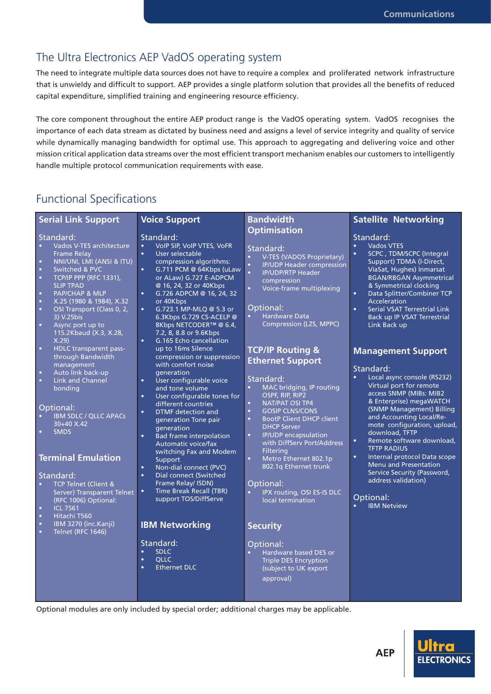#### The Ultra Electronics AEP VadOS operating system

The need to integrate multiple data sources does not have to require a complex and proliferated network infrastructure that is unwieldy and difficult to support. AEP provides a single platform solution that provides all the benefits of reduced capital expenditure, simplified training and engineering resource efficiency.

The core component throughout the entire AEP product range is the VadOS operating system. VadOS recognises the importance of each data stream as dictated by business need and assigns a level of service integrity and quality of service while dynamically managing bandwidth for optimal use. This approach to aggregating and delivering voice and other mission critical application data streams over the most efficient transport mechanism enables our customers to intelligently handle multiple protocol communication requirements with ease.

### Functional Specifications

| <b>Serial Link Support</b>                                                                                                                                                                                                                                                                | <b>Voice Support</b>                                                                                                                                                                                                                    | <b>Bandwidth</b>                                                                                                                                                                                      | <b>Satellite Networking</b>                                                                                                                                                                                                               |
|-------------------------------------------------------------------------------------------------------------------------------------------------------------------------------------------------------------------------------------------------------------------------------------------|-----------------------------------------------------------------------------------------------------------------------------------------------------------------------------------------------------------------------------------------|-------------------------------------------------------------------------------------------------------------------------------------------------------------------------------------------------------|-------------------------------------------------------------------------------------------------------------------------------------------------------------------------------------------------------------------------------------------|
|                                                                                                                                                                                                                                                                                           |                                                                                                                                                                                                                                         | <b>Optimisation</b>                                                                                                                                                                                   |                                                                                                                                                                                                                                           |
| Standard:                                                                                                                                                                                                                                                                                 | Standard:                                                                                                                                                                                                                               |                                                                                                                                                                                                       | Standard:                                                                                                                                                                                                                                 |
| Vados V-TES architecture<br>$\bullet$<br><b>Frame Relay</b><br>NNI/UNI, LMI (ANSI & ITU)<br>$\bullet$<br>$\bullet$<br>Switched & PVC<br><b>TCP/IP PPP (RFC 1331),</b><br>$\bullet$<br><b>SLIP TPAD</b><br><b>PAP/CHAP &amp; MLP</b><br>$\bullet$<br>X.25 (1980 & 1984), X.32<br>$\bullet$ | VoIP SIP, VoIP VTES, VoFR<br>User selectable<br>$\bullet$<br>compression algorithms:<br>G.711 PCM @ 64Kbps (uLaw<br>$\bullet$<br>or ALaw) G.727 E-ADPCM<br>@ 16, 24, 32 or 40Kbps<br>G.726 ADPCM @ 16, 24, 32<br>$\bullet$<br>or 40Kbps | Standard:<br>V-TES (VADOS Proprietary)<br>$\bullet$<br>$\bullet$<br><b>IP/UDP Header compression</b><br><b>IP/UDP/RTP Header</b><br>$\bullet$<br>compression<br>$\bullet$<br>Voice-frame multiplexing | <b>Vados VTES</b><br>SCPC, TDM/SCPC (Integral<br>$\bullet$<br>Support) TDMA (I-Direct,<br>ViaSat, Hughes) Inmarsat<br><b>BGAN/RBGAN Asymmetrical</b><br>& Symmetrical clocking<br>$\bullet$<br>Data Splitter/Combiner TCP<br>Acceleration |
| OSI Transport (Class 0, 2,<br>$\bullet$<br>3) V.25bis<br>$\bullet$<br>Async port up to<br>115.2Kbaud (X.3, X.28,<br>X.29                                                                                                                                                                  | G.723.1 MP-MLQ @ 5.3 or<br>$\bullet$<br>6.3Kbps G.729 CS-ACELP @<br>8Kbps NETCODER™ @ 6.4,<br>7.2, 8, 8.8 or 9.6Kbps<br>G.165 Echo cancellation<br>$\bullet$                                                                            | Optional:<br><b>Hardware Data</b><br>$\bullet$<br>Compression (LZS, MPPC)                                                                                                                             | Serial VSAT Terrestrial Link<br>$\bullet$<br>Back up IP VSAT Terrestrial<br>Link Back up                                                                                                                                                  |
| $\bullet$<br>HDLC transparent pass-<br>through Bandwidth                                                                                                                                                                                                                                  | up to 16ms Silence<br>compression or suppression                                                                                                                                                                                        | <b>TCP/IP Routing &amp;</b><br><b>Ethernet Support</b>                                                                                                                                                | <b>Management Support</b>                                                                                                                                                                                                                 |
| management<br>$\bullet$<br>Auto link back-up<br>$\bullet$<br><b>Link and Channel</b><br>bonding<br>Optional:                                                                                                                                                                              | with comfort noise<br>qeneration<br>User configurable voice<br>$\bullet$<br>and tone volume<br>User configurable tones for<br>$\bullet$<br>different countries<br>$\bullet$                                                             | Standard:<br>MAC bridging, IP routing<br>$\bullet$<br>OSPF, RIP, RIP2<br>$\bullet$<br><b>NAT/PAT OSI TP4</b><br><b>GOSIP CLNS/CONS</b><br>$\bullet$                                                   | Standard:<br>Local async console (RS232)<br>$\bullet$<br>Virtual port for remote<br>access SNMP (MIBs: MIB2<br>& Enterprise) megaWATCH<br>(SNMP Management) Billing                                                                       |
| <b>IBM SDLC / QLLC APACs</b><br>30+40 X.42<br><b>SMDS</b>                                                                                                                                                                                                                                 | DTMF detection and<br>generation Tone pair<br>generation<br>Bad frame interpolation<br>$\bullet$<br>Automatic voice/fax<br>switching Fax and Modem                                                                                      | $\bullet$<br><b>BootP Client DHCP client</b><br><b>DHCP Server</b><br>$\bullet$<br><b>IP/UDP</b> encapsulation<br>with DiffServ Port/Address<br>Filtering                                             | and Accounting Local/Re-<br>mote configuration, upload,<br>download, TFTP<br>Remote software download.<br>$\bullet$<br><b>TFTP RADIUS</b>                                                                                                 |
| <b>Terminal Emulation</b>                                                                                                                                                                                                                                                                 | Support<br>Non-dial connect (PVC)<br>$\bullet$                                                                                                                                                                                          | $\bullet$<br>Metro Ethernet 802.1p<br>802.1q Ethernet trunk                                                                                                                                           | Internal protocol Data scope<br>$\bullet$<br>Menu and Presentation<br><b>Service Security (Password,</b>                                                                                                                                  |
| Standard:<br>TCP Telnet (Client &<br>$\bullet$<br>Server) Transparent Telnet<br>(RFC 1006) Optional:<br><b>ICL 7561</b><br>$\bullet$<br>Hitachi T560<br>$\bullet$                                                                                                                         | $\bullet$<br><b>Dial connect (Switched</b><br>Frame Relay/ ISDN)<br>Time Break Recall (TBR)<br>$\bullet$<br>support TOS/DiffServe                                                                                                       | Optional:<br>IPX routing, OSI ES-IS DLC<br>$\bullet$<br>local termination                                                                                                                             | address validation)<br>Optional:<br><b>IBM Netview</b>                                                                                                                                                                                    |
| IBM 3270 (inc.Kanji)<br>$\bullet$<br>Telnet (RFC 1646)<br>$\bullet$                                                                                                                                                                                                                       | <b>IBM Networking</b>                                                                                                                                                                                                                   | <b>Security</b>                                                                                                                                                                                       |                                                                                                                                                                                                                                           |
|                                                                                                                                                                                                                                                                                           | Standard:<br><b>SDLC</b><br><b>OLLC</b><br>$\bullet$<br><b>Ethernet DLC</b>                                                                                                                                                             | Optional:<br>Hardware based DES or<br><b>Triple DES Encryption</b><br>(subject to UK export<br>approval)                                                                                              |                                                                                                                                                                                                                                           |

Optional modules are only included by special order; additional charges may be applicable.

**AEP** 

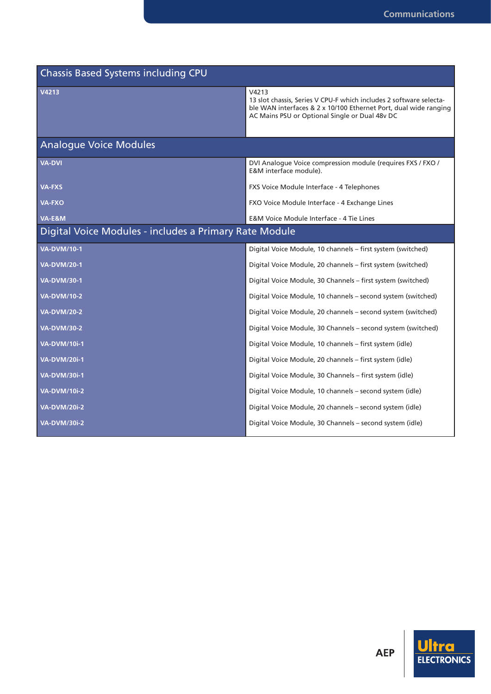| <b>Chassis Based Systems including CPU</b>             |                                                                                                                                                                                                   |  |  |  |
|--------------------------------------------------------|---------------------------------------------------------------------------------------------------------------------------------------------------------------------------------------------------|--|--|--|
| V4213                                                  | V4213<br>13 slot chassis, Series V CPU-F which includes 2 software selecta-<br>ble WAN interfaces & 2 x 10/100 Ethernet Port, dual wide ranging<br>AC Mains PSU or Optional Single or Dual 48v DC |  |  |  |
| <b>Analogue Voice Modules</b>                          |                                                                                                                                                                                                   |  |  |  |
| <b>VA-DVI</b>                                          | DVI Analogue Voice compression module (requires FXS / FXO /<br>E&M interface module).                                                                                                             |  |  |  |
| VA-FXS                                                 | FXS Voice Module Interface - 4 Telephones                                                                                                                                                         |  |  |  |
| VA-FXO                                                 | FXO Voice Module Interface - 4 Exchange Lines                                                                                                                                                     |  |  |  |
| $VA$ -E&M                                              | E&M Voice Module Interface - 4 Tie Lines                                                                                                                                                          |  |  |  |
| Digital Voice Modules - includes a Primary Rate Module |                                                                                                                                                                                                   |  |  |  |
| <b>VA-DVM/10-1</b>                                     | Digital Voice Module, 10 channels - first system (switched)                                                                                                                                       |  |  |  |
| <b>VA-DVM/20-1</b>                                     | Digital Voice Module, 20 channels - first system (switched)                                                                                                                                       |  |  |  |
| <b>VA-DVM/30-1</b>                                     | Digital Voice Module, 30 Channels - first system (switched)                                                                                                                                       |  |  |  |
| <b>VA-DVM/10-2</b>                                     | Digital Voice Module, 10 channels - second system (switched)                                                                                                                                      |  |  |  |
| <b>VA-DVM/20-2</b>                                     | Digital Voice Module, 20 channels - second system (switched)                                                                                                                                      |  |  |  |
| <b>VA-DVM/30-2</b>                                     | Digital Voice Module, 30 Channels - second system (switched)                                                                                                                                      |  |  |  |
| <b>VA-DVM/10i-1</b>                                    | Digital Voice Module, 10 channels - first system (idle)                                                                                                                                           |  |  |  |
| <b>VA-DVM/20i-1</b>                                    | Digital Voice Module, 20 channels - first system (idle)                                                                                                                                           |  |  |  |
| <b>VA-DVM/30i-1</b>                                    | Digital Voice Module, 30 Channels - first system (idle)                                                                                                                                           |  |  |  |
| <b>VA-DVM/10i-2</b>                                    | Digital Voice Module, 10 channels - second system (idle)                                                                                                                                          |  |  |  |
| <b>VA-DVM/20i-2</b>                                    | Digital Voice Module, 20 channels – second system (idle)                                                                                                                                          |  |  |  |
| <b>VA-DVM/30i-2</b>                                    | Digital Voice Module, 30 Channels - second system (idle)                                                                                                                                          |  |  |  |